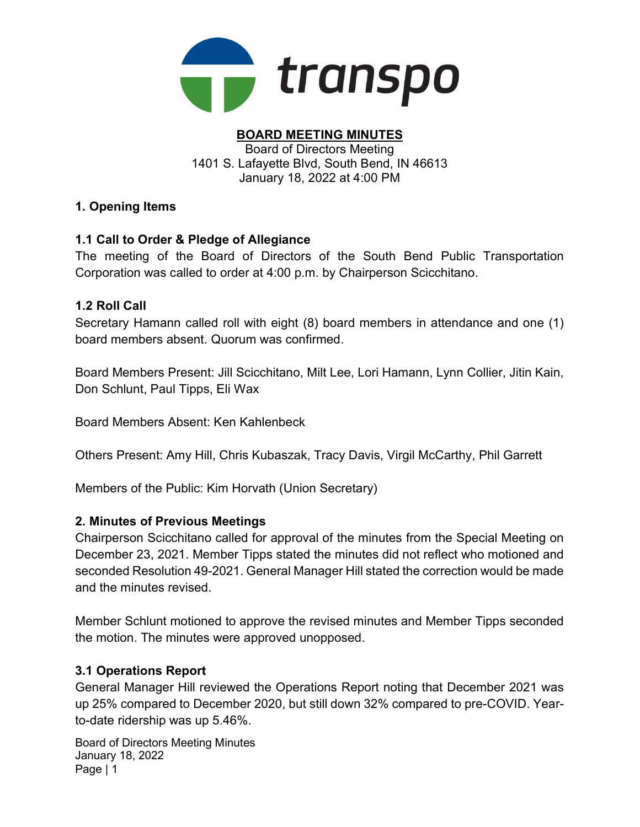

#### BOARD MEETING MINUTES Board of Directors Meeting 1401 S. Lafayette Blvd, South Bend, IN 46613 January 18, 2022 at 4:00 PM

### 1. Opening Items

### 1.1 Call to Order & Pledge of Allegiance

The meeting of the Board of Directors of the South Bend Public Transportation Corporation was called to order at 4:00 p.m. by Chairperson Scicchitano.

#### 1.2 Roll Call

Secretary Hamann called roll with eight (8) board members in attendance and one (1) board members absent. Quorum was confirmed.

Board Members Present: Jill Scicchitano, Milt Lee, Lori Hamann, Lynn Collier, Jitin Kain, Don Schlunt, Paul Tipps, Eli Wax

Board Members Absent: Ken Kahlenbeck

Others Present: Amy Hill, Chris Kubaszak, Tracy Davis, Virgil McCarthy, Phil Garrett

Members of the Public: Kim Horvath (Union Secretary)

#### 2. Minutes of Previous Meetings

Chairperson Scicchitano called for approval of the minutes from the Special Meeting on December 23, 2021. Member Tipps stated the minutes did not reflect who motioned and seconded Resolution 49-2021. General Manager Hill stated the correction would be made and the minutes revised.

Member Schlunt motioned to approve the revised minutes and Member Tipps seconded the motion. The minutes were approved unopposed.

#### 3.1 Operations Report

General Manager Hill reviewed the Operations Report noting that December 2021 was up 25% compared to December 2020, but still down 32% compared to pre-COVID. Yearto-date ridership was up 5.46%.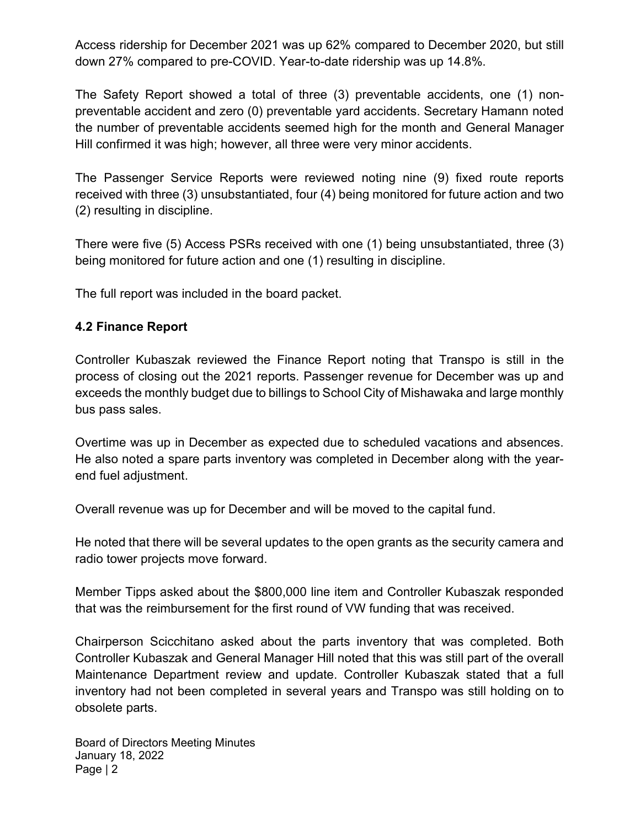Access ridership for December 2021 was up 62% compared to December 2020, but still down 27% compared to pre-COVID. Year-to-date ridership was up 14.8%.

The Safety Report showed a total of three (3) preventable accidents, one (1) nonpreventable accident and zero (0) preventable yard accidents. Secretary Hamann noted the number of preventable accidents seemed high for the month and General Manager Hill confirmed it was high; however, all three were very minor accidents.

The Passenger Service Reports were reviewed noting nine (9) fixed route reports received with three (3) unsubstantiated, four (4) being monitored for future action and two (2) resulting in discipline.

There were five (5) Access PSRs received with one (1) being unsubstantiated, three (3) being monitored for future action and one (1) resulting in discipline.

The full report was included in the board packet.

### 4.2 Finance Report

Controller Kubaszak reviewed the Finance Report noting that Transpo is still in the process of closing out the 2021 reports. Passenger revenue for December was up and exceeds the monthly budget due to billings to School City of Mishawaka and large monthly bus pass sales.

Overtime was up in December as expected due to scheduled vacations and absences. He also noted a spare parts inventory was completed in December along with the yearend fuel adjustment.

Overall revenue was up for December and will be moved to the capital fund.

He noted that there will be several updates to the open grants as the security camera and radio tower projects move forward.

Member Tipps asked about the \$800,000 line item and Controller Kubaszak responded that was the reimbursement for the first round of VW funding that was received.

Chairperson Scicchitano asked about the parts inventory that was completed. Both Controller Kubaszak and General Manager Hill noted that this was still part of the overall Maintenance Department review and update. Controller Kubaszak stated that a full inventory had not been completed in several years and Transpo was still holding on to obsolete parts.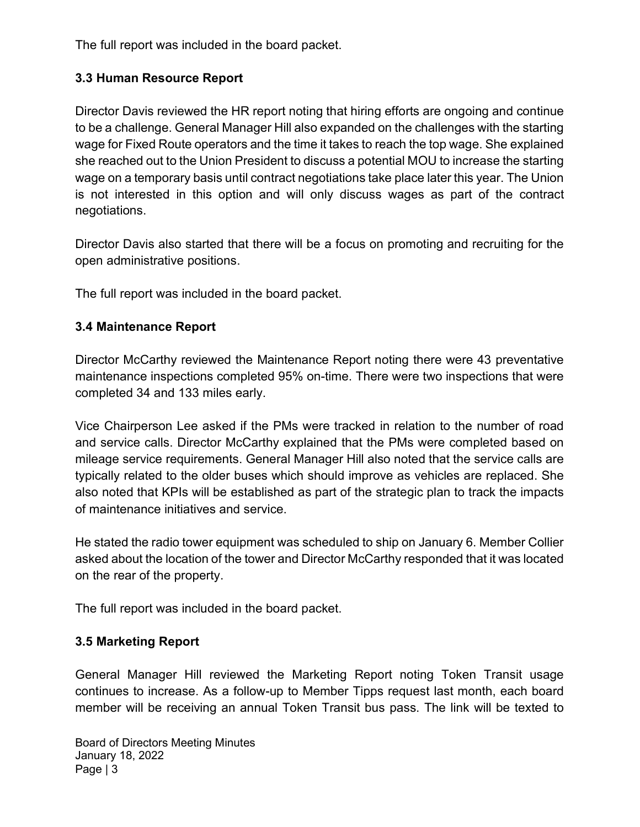The full report was included in the board packet.

## 3.3 Human Resource Report

Director Davis reviewed the HR report noting that hiring efforts are ongoing and continue to be a challenge. General Manager Hill also expanded on the challenges with the starting wage for Fixed Route operators and the time it takes to reach the top wage. She explained she reached out to the Union President to discuss a potential MOU to increase the starting wage on a temporary basis until contract negotiations take place later this year. The Union is not interested in this option and will only discuss wages as part of the contract negotiations.

Director Davis also started that there will be a focus on promoting and recruiting for the open administrative positions.

The full report was included in the board packet.

## 3.4 Maintenance Report

Director McCarthy reviewed the Maintenance Report noting there were 43 preventative maintenance inspections completed 95% on-time. There were two inspections that were completed 34 and 133 miles early.

Vice Chairperson Lee asked if the PMs were tracked in relation to the number of road and service calls. Director McCarthy explained that the PMs were completed based on mileage service requirements. General Manager Hill also noted that the service calls are typically related to the older buses which should improve as vehicles are replaced. She also noted that KPIs will be established as part of the strategic plan to track the impacts of maintenance initiatives and service.

He stated the radio tower equipment was scheduled to ship on January 6. Member Collier asked about the location of the tower and Director McCarthy responded that it was located on the rear of the property.

The full report was included in the board packet.

## 3.5 Marketing Report

General Manager Hill reviewed the Marketing Report noting Token Transit usage continues to increase. As a follow-up to Member Tipps request last month, each board member will be receiving an annual Token Transit bus pass. The link will be texted to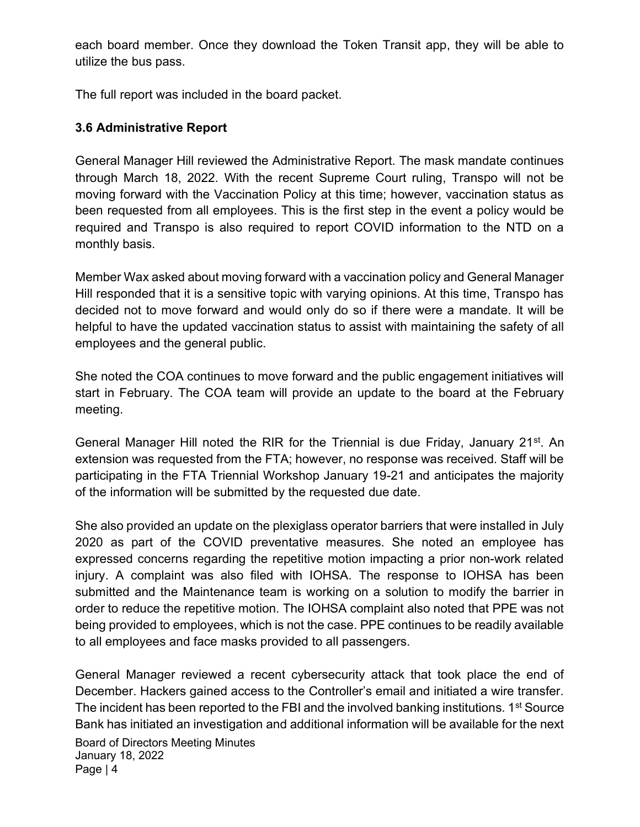each board member. Once they download the Token Transit app, they will be able to utilize the bus pass.

The full report was included in the board packet.

#### 3.6 Administrative Report

General Manager Hill reviewed the Administrative Report. The mask mandate continues through March 18, 2022. With the recent Supreme Court ruling, Transpo will not be moving forward with the Vaccination Policy at this time; however, vaccination status as been requested from all employees. This is the first step in the event a policy would be required and Transpo is also required to report COVID information to the NTD on a monthly basis.

Member Wax asked about moving forward with a vaccination policy and General Manager Hill responded that it is a sensitive topic with varying opinions. At this time, Transpo has decided not to move forward and would only do so if there were a mandate. It will be helpful to have the updated vaccination status to assist with maintaining the safety of all employees and the general public.

She noted the COA continues to move forward and the public engagement initiatives will start in February. The COA team will provide an update to the board at the February meeting.

General Manager Hill noted the RIR for the Triennial is due Friday, January 21<sup>st</sup>. An extension was requested from the FTA; however, no response was received. Staff will be participating in the FTA Triennial Workshop January 19-21 and anticipates the majority of the information will be submitted by the requested due date.

She also provided an update on the plexiglass operator barriers that were installed in July 2020 as part of the COVID preventative measures. She noted an employee has expressed concerns regarding the repetitive motion impacting a prior non-work related injury. A complaint was also filed with IOHSA. The response to IOHSA has been submitted and the Maintenance team is working on a solution to modify the barrier in order to reduce the repetitive motion. The IOHSA complaint also noted that PPE was not being provided to employees, which is not the case. PPE continues to be readily available to all employees and face masks provided to all passengers.

Board of Directors Meeting Minutes January 18, 2022 Page | 4 General Manager reviewed a recent cybersecurity attack that took place the end of December. Hackers gained access to the Controller's email and initiated a wire transfer. The incident has been reported to the FBI and the involved banking institutions. 1<sup>st</sup> Source Bank has initiated an investigation and additional information will be available for the next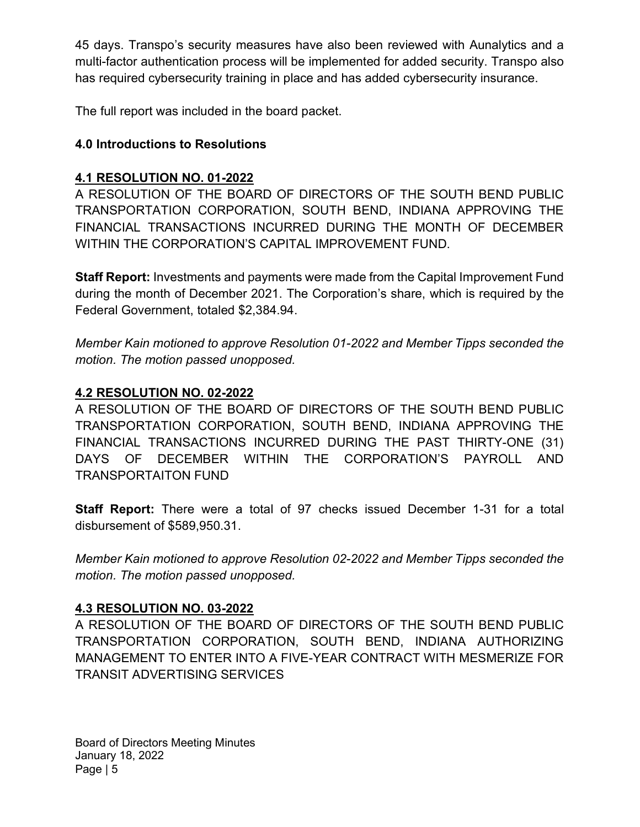45 days. Transpo's security measures have also been reviewed with Aunalytics and a multi-factor authentication process will be implemented for added security. Transpo also has required cybersecurity training in place and has added cybersecurity insurance.

The full report was included in the board packet.

## 4.0 Introductions to Resolutions

## 4.1 RESOLUTION NO. 01-2022

A RESOLUTION OF THE BOARD OF DIRECTORS OF THE SOUTH BEND PUBLIC TRANSPORTATION CORPORATION, SOUTH BEND, INDIANA APPROVING THE FINANCIAL TRANSACTIONS INCURRED DURING THE MONTH OF DECEMBER WITHIN THE CORPORATION'S CAPITAL IMPROVEMENT FUND.

Staff Report: Investments and payments were made from the Capital Improvement Fund during the month of December 2021. The Corporation's share, which is required by the Federal Government, totaled \$2,384.94.

Member Kain motioned to approve Resolution 01-2022 and Member Tipps seconded the motion. The motion passed unopposed.

## 4.2 RESOLUTION NO. 02-2022

A RESOLUTION OF THE BOARD OF DIRECTORS OF THE SOUTH BEND PUBLIC TRANSPORTATION CORPORATION, SOUTH BEND, INDIANA APPROVING THE FINANCIAL TRANSACTIONS INCURRED DURING THE PAST THIRTY-ONE (31) DAYS OF DECEMBER WITHIN THE CORPORATION'S PAYROLL AND TRANSPORTAITON FUND

Staff Report: There were a total of 97 checks issued December 1-31 for a total disbursement of \$589,950.31.

Member Kain motioned to approve Resolution 02-2022 and Member Tipps seconded the motion. The motion passed unopposed.

## 4.3 RESOLUTION NO. 03-2022

A RESOLUTION OF THE BOARD OF DIRECTORS OF THE SOUTH BEND PUBLIC TRANSPORTATION CORPORATION, SOUTH BEND, INDIANA AUTHORIZING MANAGEMENT TO ENTER INTO A FIVE-YEAR CONTRACT WITH MESMERIZE FOR TRANSIT ADVERTISING SERVICES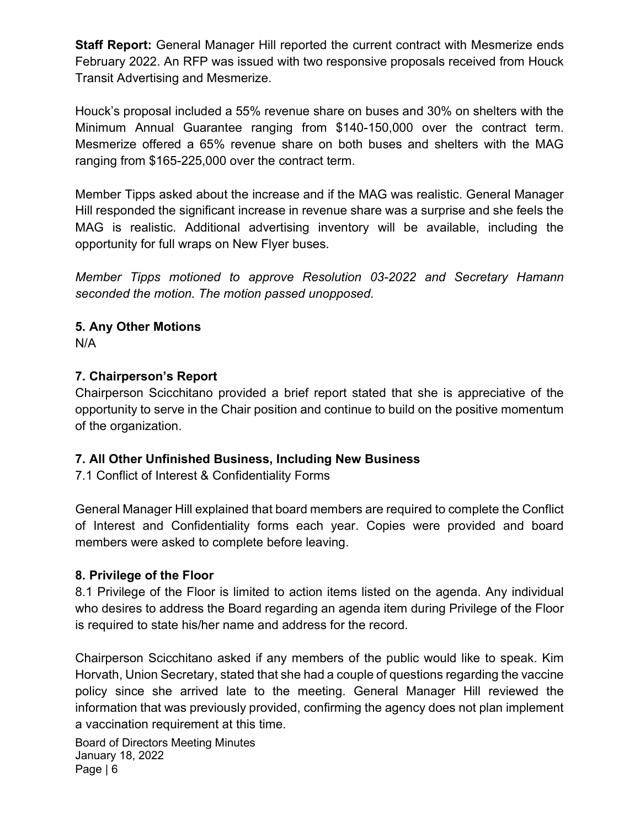Staff Report: General Manager Hill reported the current contract with Mesmerize ends February 2022. An RFP was issued with two responsive proposals received from Houck Transit Advertising and Mesmerize.

Houck's proposal included a 55% revenue share on buses and 30% on shelters with the Minimum Annual Guarantee ranging from \$140-150,000 over the contract term. Mesmerize offered a 65% revenue share on both buses and shelters with the MAG ranging from \$165-225,000 over the contract term.

Member Tipps asked about the increase and if the MAG was realistic. General Manager Hill responded the significant increase in revenue share was a surprise and she feels the MAG is realistic. Additional advertising inventory will be available, including the opportunity for full wraps on New Flyer buses.

Member Tipps motioned to approve Resolution 03-2022 and Secretary Hamann seconded the motion. The motion passed unopposed.

# 5. Any Other Motions

N/A

## 7. Chairperson's Report

Chairperson Scicchitano provided a brief report stated that she is appreciative of the opportunity to serve in the Chair position and continue to build on the positive momentum of the organization.

### 7. All Other Unfinished Business, Including New Business

7.1 Conflict of Interest & Confidentiality Forms

General Manager Hill explained that board members are required to complete the Conflict of Interest and Confidentiality forms each year. Copies were provided and board members were asked to complete before leaving.

### 8. Privilege of the Floor

8.1 Privilege of the Floor is limited to action items listed on the agenda. Any individual who desires to address the Board regarding an agenda item during Privilege of the Floor is required to state his/her name and address for the record.

Chairperson Scicchitano asked if any members of the public would like to speak. Kim Horvath, Union Secretary, stated that she had a couple of questions regarding the vaccine policy since she arrived late to the meeting. General Manager Hill reviewed the information that was previously provided, confirming the agency does not plan implement a vaccination requirement at this time.